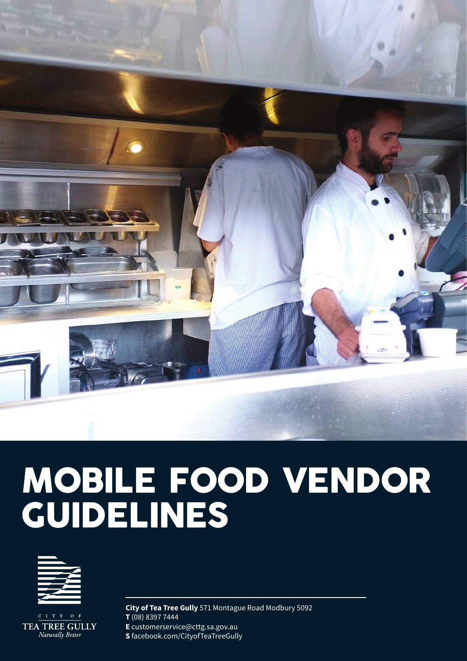

# MOBILE FOOD VENDOR GUIDELINES



 $O$  F  $I$  T TEA TREE GULLY Naturally Better

**City of Tea Tree Gully** 571 Montague Road Modbury 5092 **T** (08) 8397 7444 **E** customerservice@cttg.sa.gov.au **S** facebook.com/CityofTeaTreeGully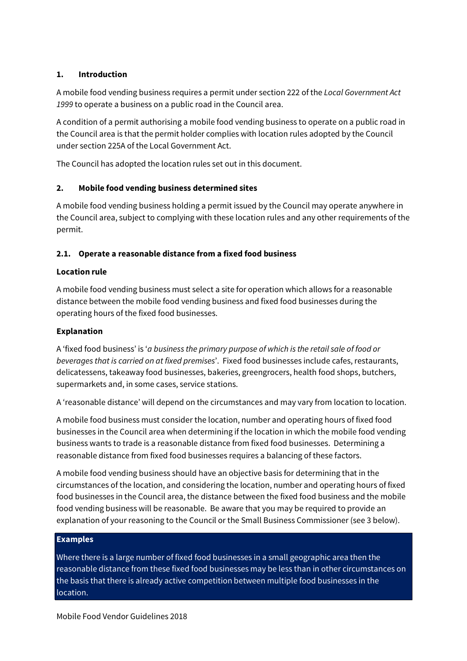## **1. Introduction**

A mobile food vending business requires a permit under section 222 of the *Local Government Act 1999* to operate a business on a public road in the Council area.

A condition of a permit authorising a mobile food vending business to operate on a public road in the Council area is that the permit holder complies with location rules adopted by the Council under section 225A of the Local Government Act.

The Council has adopted the location rules set out in this document.

# **2. Mobile food vending business determined sites**

A mobile food vending business holding a permit issued by the Council may operate anywhere in the Council area, subject to complying with these location rules and any other requirements of the permit.

# **2.1. Operate a reasonable distance from a fixed food business**

## **Location rule**

A mobile food vending business must select a site for operation which allows for a reasonable distance between the mobile food vending business and fixed food businesses during the operating hours of the fixed food businesses.

## **Explanation**

A 'fixed food business' is '*a business the primary purpose of which is the retail sale of food or beverages that is carried on at fixed premises*'. Fixed food businesses include cafes, restaurants, delicatessens, takeaway food businesses, bakeries, greengrocers, health food shops, butchers, supermarkets and, in some cases, service stations.

A 'reasonable distance' will depend on the circumstances and may vary from location to location.

A mobile food business must consider the location, number and operating hours of fixed food businesses in the Council area when determining if the location in which the mobile food vending business wants to trade is a reasonable distance from fixed food businesses. Determining a reasonable distance from fixed food businesses requires a balancing of these factors.

A mobile food vending business should have an objective basis for determining that in the circumstances of the location, and considering the location, number and operating hours of fixed food businesses in the Council area, the distance between the fixed food business and the mobile food vending business will be reasonable. Be aware that you may be required to provide an explanation of your reasoning to the Council or the Small Business Commissioner (see [3](#page-4-0) below).

## **Examples**

Where there is a large number of fixed food businesses in a small geographic area then the reasonable distance from these fixed food businesses may be less than in other circumstances on the basis that there is already active competition between multiple food businesses in the location.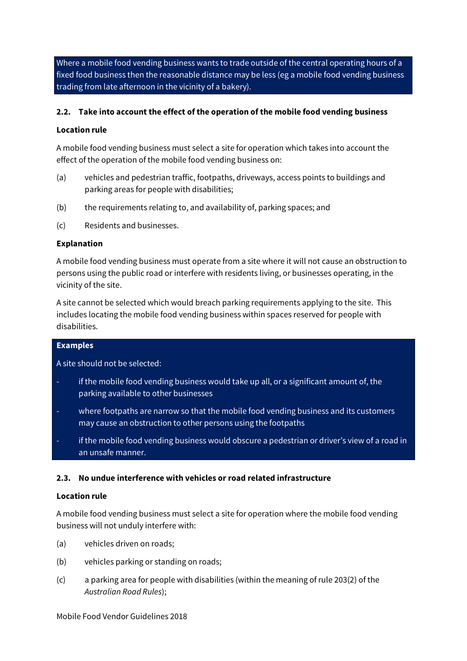Where a mobile food vending business wants to trade outside of the central operating hours of a fixed food business then the reasonable distance may be less (eg a mobile food vending business trading from late afternoon in the vicinity of a bakery).

## **2.2. Take into account the effect of the operation of the mobile food vending business**

### **Location rule**

A mobile food vending business must select a site for operation which takes into account the effect of the operation of the mobile food vending business on:

- (a) vehicles and pedestrian traffic, footpaths, driveways, access points to buildings and parking areas for people with disabilities;
- (b) the requirements relating to, and availability of, parking spaces; and
- (c) Residents and businesses.

#### **Explanation**

A mobile food vending business must operate from a site where it will not cause an obstruction to persons using the public road or interfere with residents living, or businesses operating, in the vicinity of the site.

A site cannot be selected which would breach parking requirements applying to the site. This includes locating the mobile food vending business within spaces reserved for people with disabilities.

#### **Examples**

A site should not be selected:

- if the mobile food vending business would take up all, or a significant amount of, the parking available to other businesses
- where footpaths are narrow so that the mobile food vending business and its customers may cause an obstruction to other persons using the footpaths
- if the mobile food vending business would obscure a pedestrian or driver's view of a road in an unsafe manner.

#### **2.3. No undue interference with vehicles or road related infrastructure**

#### **Location rule**

A mobile food vending business must select a site for operation where the mobile food vending business will not unduly interfere with:

- (a) vehicles driven on roads;
- (b) vehicles parking or standing on roads;
- (c) a parking area for people with disabilities (within the meaning of rule 203(2) of the *Australian Road Rules*);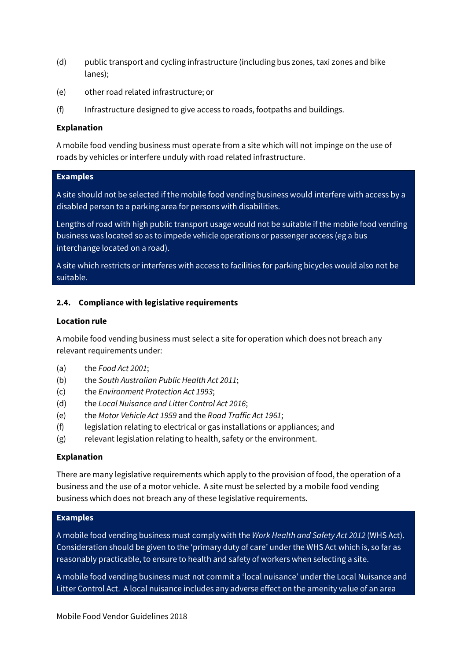- (d) public transport and cycling infrastructure (including bus zones, taxi zones and bike lanes);
- (e) other road related infrastructure; or
- (f) Infrastructure designed to give access to roads, footpaths and buildings.

#### **Explanation**

A mobile food vending business must operate from a site which will not impinge on the use of roads by vehicles or interfere unduly with road related infrastructure.

## **Examples**

A site should not be selected if the mobile food vending business would interfere with access by a disabled person to a parking area for persons with disabilities.

Lengths of road with high public transport usage would not be suitable if the mobile food vending business was located so as to impede vehicle operations or passenger access (eg a bus interchange located on a road).

A site which restricts or interferes with access to facilities for parking bicycles would also not be suitable.

#### **2.4. Compliance with legislative requirements**

#### **Location rule**

A mobile food vending business must select a site for operation which does not breach any relevant requirements under:

- (a) the *Food Act 2001*;
- (b) the *South Australian Public Health Act 2011*;
- (c) the *Environment Protection Act 1993*;
- (d) the *Local Nuisance and Litter Control Act 2016*;
- (e) the *Motor Vehicle Act 1959* and the *Road Traffic Act 1961*;
- (f) legislation relating to electrical or gas installations or appliances; and
- (g) relevant legislation relating to health, safety or the environment.

#### **Explanation**

There are many legislative requirements which apply to the provision of food, the operation of a business and the use of a motor vehicle. A site must be selected by a mobile food vending business which does not breach any of these legislative requirements.

## **Examples**

A mobile food vending business must comply with the *Work Health and Safety Act 2012* (WHS Act). Consideration should be given to the 'primary duty of care' under the WHS Act which is, so far as reasonably practicable, to ensure to health and safety of workers when selecting a site.

A mobile food vending business must not commit a 'local nuisance' under the Local Nuisance and Litter Control Act. A local nuisance includes any adverse effect on the amenity value of an area